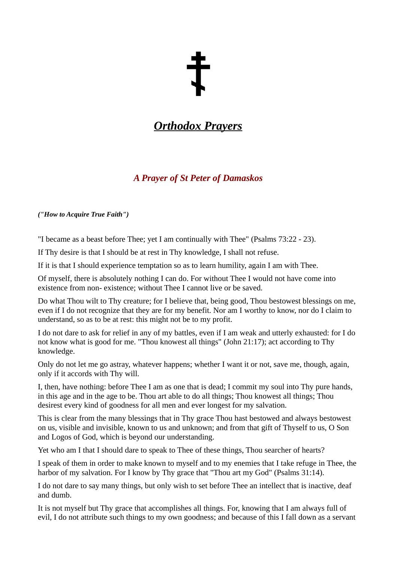# *Orthodox Prayers*

## *A Prayer of St Peter of Damaskos*

*("How to Acquire True Faith")*

"I became as a beast before Thee; yet I am continually with Thee" (Psalms 73:22 - 23).

If Thy desire is that I should be at rest in Thy knowledge, I shall not refuse.

If it is that I should experience temptation so as to learn humility, again I am with Thee.

Of myself, there is absolutely nothing I can do. For without Thee I would not have come into existence from non- existence; without Thee I cannot live or be saved.

Do what Thou wilt to Thy creature; for I believe that, being good, Thou bestowest blessings on me, even if I do not recognize that they are for my benefit. Nor am I worthy to know, nor do I claim to understand, so as to be at rest: this might not be to my profit.

I do not dare to ask for relief in any of my battles, even if I am weak and utterly exhausted: for I do not know what is good for me. "Thou knowest all things" (John 21:17); act according to Thy knowledge.

Only do not let me go astray, whatever happens; whether I want it or not, save me, though, again, only if it accords with Thy will.

I, then, have nothing: before Thee I am as one that is dead; I commit my soul into Thy pure hands, in this age and in the age to be. Thou art able to do all things; Thou knowest all things; Thou desirest every kind of goodness for all men and ever longest for my salvation.

This is clear from the many blessings that in Thy grace Thou hast bestowed and always bestowest on us, visible and invisible, known to us and unknown; and from that gift of Thyself to us, O Son and Logos of God, which is beyond our understanding.

Yet who am I that I should dare to speak to Thee of these things, Thou searcher of hearts?

I speak of them in order to make known to myself and to my enemies that I take refuge in Thee, the harbor of my salvation. For I know by Thy grace that "Thou art my God" (Psalms 31:14).

I do not dare to say many things, but only wish to set before Thee an intellect that is inactive, deaf and dumb.

It is not myself but Thy grace that accomplishes all things. For, knowing that I am always full of evil, I do not attribute such things to my own goodness; and because of this I fall down as a servant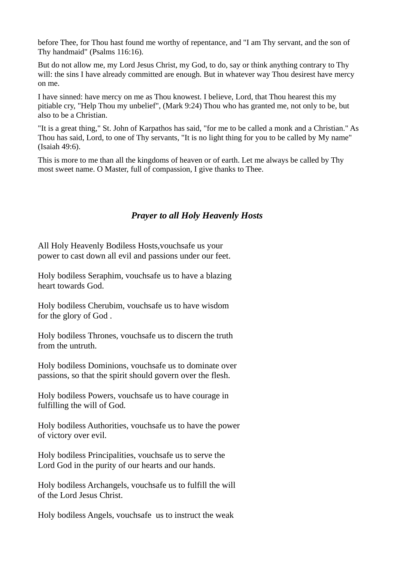before Thee, for Thou hast found me worthy of repentance, and "I am Thy servant, and the son of Thy handmaid" (Psalms 116:16).

But do not allow me, my Lord Jesus Christ, my God, to do, say or think anything contrary to Thy will: the sins I have already committed are enough. But in whatever way Thou desirest have mercy on me.

I have sinned: have mercy on me as Thou knowest. I believe, Lord, that Thou hearest this my pitiable cry, "Help Thou my unbelief", (Mark 9:24) Thou who has granted me, not only to be, but also to be a Christian.

"It is a great thing," St. John of Karpathos has said, "for me to be called a monk and a Christian." As Thou has said, Lord, to one of Thy servants, "It is no light thing for you to be called by My name" (Isaiah 49:6).

This is more to me than all the kingdoms of heaven or of earth. Let me always be called by Thy most sweet name. O Master, full of compassion, I give thanks to Thee.

#### *Prayer to all Holy Heavenly Hosts*

All Holy Heavenly Bodiless Hosts,vouchsafe us your power to cast down all evil and passions under our feet.

Holy bodiless Seraphim, vouchsafe us to have a blazing heart towards God.

Holy bodiless Cherubim, vouchsafe us to have wisdom for the glory of God .

Holy bodiless Thrones, vouchsafe us to discern the truth from the untruth.

Holy bodiless Dominions, vouchsafe us to dominate over passions, so that the spirit should govern over the flesh.

Holy bodiless Powers, vouchsafe us to have courage in fulfilling the will of God.

Holy bodiless Authorities, vouchsafe us to have the power of victory over evil.

Holy bodiless Principalities, vouchsafe us to serve the Lord God in the purity of our hearts and our hands.

Holy bodiless Archangels, vouchsafe us to fulfill the will of the Lord Jesus Christ.

Holy bodiless Angels, vouchsafe us to instruct the weak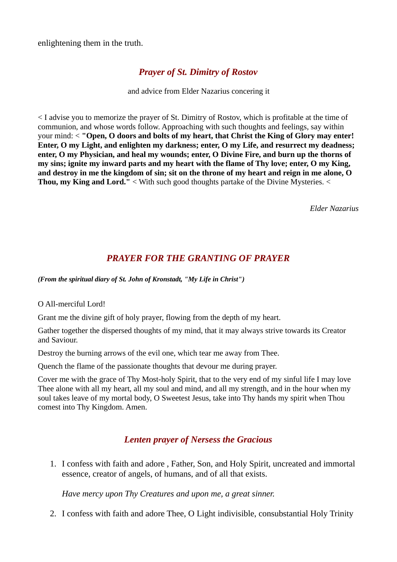enlightening them in the truth.

### *Prayer of St. Dimitry of Rostov*

and advice from Elder Nazarius concering it

< I advise you to memorize the prayer of St. Dimitry of Rostov, which is profitable at the time of communion, and whose words follow. Approaching with such thoughts and feelings, say within your mind: < **"Open, O doors and bolts of my heart, that Christ the King of Glory may enter! Enter, O my Light, and enlighten my darkness; enter, O my Life, and resurrect my deadness; enter, O my Physician, and heal my wounds; enter, O Divine Fire, and burn up the thorns of my sins; ignite my inward parts and my heart with the flame of Thy love; enter, O my King, and destroy in me the kingdom of sin; sit on the throne of my heart and reign in me alone, O Thou, my King and Lord."** < With such good thoughts partake of the Divine Mysteries. <

*Elder Nazarius*

#### *PRAYER FOR THE GRANTING OF PRAYER*

*(From the spiritual diary of St. John of Kronstadt, "My Life in Christ")*

O All-merciful Lord!

Grant me the divine gift of holy prayer, flowing from the depth of my heart.

Gather together the dispersed thoughts of my mind, that it may always strive towards its Creator and Saviour.

Destroy the burning arrows of the evil one, which tear me away from Thee.

Quench the flame of the passionate thoughts that devour me during prayer.

Cover me with the grace of Thy Most-holy Spirit, that to the very end of my sinful life I may love Thee alone with all my heart, all my soul and mind, and all my strength, and in the hour when my soul takes leave of my mortal body, O Sweetest Jesus, take into Thy hands my spirit when Thou comest into Thy Kingdom. Amen.

#### *Lenten prayer of Nersess the Gracious*

1. I confess with faith and adore , Father, Son, and Holy Spirit, uncreated and immortal essence, creator of angels, of humans, and of all that exists.

*Have mercy upon Thy Creatures and upon me, a great sinner.*

2. I confess with faith and adore Thee, O Light indivisible, consubstantial Holy Trinity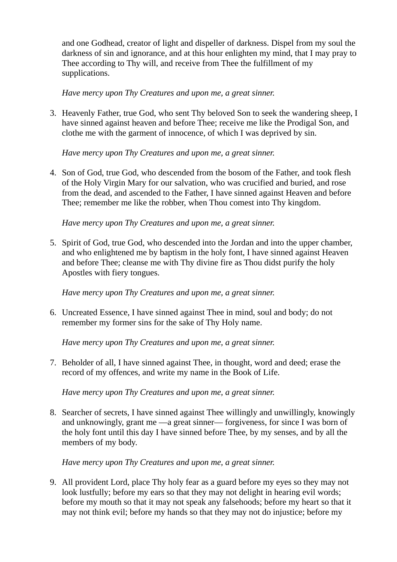and one Godhead, creator of light and dispeller of darkness. Dispel from my soul the darkness of sin and ignorance, and at this hour enlighten my mind, that I may pray to Thee according to Thy will, and receive from Thee the fulfillment of my supplications.

*Have mercy upon Thy Creatures and upon me, a great sinner.*

3. Heavenly Father, true God, who sent Thy beloved Son to seek the wandering sheep, I have sinned against heaven and before Thee; receive me like the Prodigal Son, and clothe me with the garment of innocence, of which I was deprived by sin.

*Have mercy upon Thy Creatures and upon me, a great sinner.*

4. Son of God, true God, who descended from the bosom of the Father, and took flesh of the Holy Virgin Mary for our salvation, who was crucified and buried, and rose from the dead, and ascended to the Father, I have sinned against Heaven and before Thee; remember me like the robber, when Thou comest into Thy kingdom.

*Have mercy upon Thy Creatures and upon me, a great sinner.*

5. Spirit of God, true God, who descended into the Jordan and into the upper chamber, and who enlightened me by baptism in the holy font, I have sinned against Heaven and before Thee; cleanse me with Thy divine fire as Thou didst purify the holy Apostles with fiery tongues.

*Have mercy upon Thy Creatures and upon me, a great sinner.*

6. Uncreated Essence, I have sinned against Thee in mind, soul and body; do not remember my former sins for the sake of Thy Holy name.

*Have mercy upon Thy Creatures and upon me, a great sinner.*

7. Beholder of all, I have sinned against Thee, in thought, word and deed; erase the record of my offences, and write my name in the Book of Life.

*Have mercy upon Thy Creatures and upon me, a great sinner.*

8. Searcher of secrets, I have sinned against Thee willingly and unwillingly, knowingly and unknowingly, grant me —a great sinner— forgiveness, for since I was born of the holy font until this day I have sinned before Thee, by my senses, and by all the members of my body.

*Have mercy upon Thy Creatures and upon me, a great sinner.*

9. All provident Lord, place Thy holy fear as a guard before my eyes so they may not look lustfully; before my ears so that they may not delight in hearing evil words; before my mouth so that it may not speak any falsehoods; before my heart so that it may not think evil; before my hands so that they may not do injustice; before my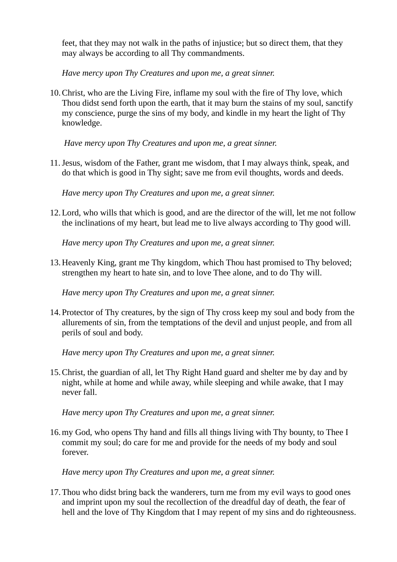feet, that they may not walk in the paths of injustice; but so direct them, that they may always be according to all Thy commandments.

*Have mercy upon Thy Creatures and upon me, a great sinner.*

10.Christ, who are the Living Fire, inflame my soul with the fire of Thy love, which Thou didst send forth upon the earth, that it may burn the stains of my soul, sanctify my conscience, purge the sins of my body, and kindle in my heart the light of Thy knowledge.

*Have mercy upon Thy Creatures and upon me, a great sinner.*

11.Jesus, wisdom of the Father, grant me wisdom, that I may always think, speak, and do that which is good in Thy sight; save me from evil thoughts, words and deeds.

*Have mercy upon Thy Creatures and upon me, a great sinner.*

12.Lord, who wills that which is good, and are the director of the will, let me not follow the inclinations of my heart, but lead me to live always according to Thy good will.

*Have mercy upon Thy Creatures and upon me, a great sinner.*

13.Heavenly King, grant me Thy kingdom, which Thou hast promised to Thy beloved; strengthen my heart to hate sin, and to love Thee alone, and to do Thy will.

*Have mercy upon Thy Creatures and upon me, a great sinner.*

14.Protector of Thy creatures, by the sign of Thy cross keep my soul and body from the allurements of sin, from the temptations of the devil and unjust people, and from all perils of soul and body.

*Have mercy upon Thy Creatures and upon me, a great sinner.*

15.Christ, the guardian of all, let Thy Right Hand guard and shelter me by day and by night, while at home and while away, while sleeping and while awake, that I may never fall.

*Have mercy upon Thy Creatures and upon me, a great sinner.*

16.my God, who opens Thy hand and fills all things living with Thy bounty, to Thee I commit my soul; do care for me and provide for the needs of my body and soul forever.

*Have mercy upon Thy Creatures and upon me, a great sinner.*

17.Thou who didst bring back the wanderers, turn me from my evil ways to good ones and imprint upon my soul the recollection of the dreadful day of death, the fear of hell and the love of Thy Kingdom that I may repent of my sins and do righteousness.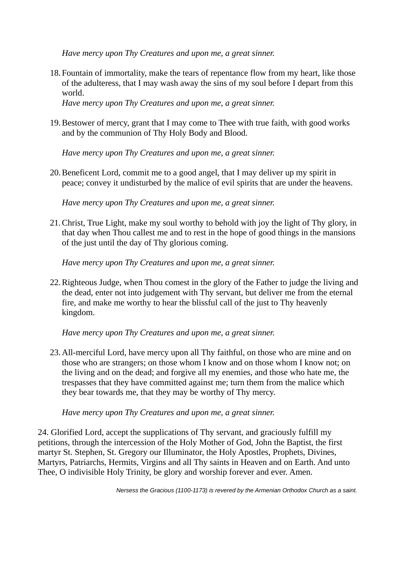*Have mercy upon Thy Creatures and upon me, a great sinner.*

18.Fountain of immortality, make the tears of repentance flow from my heart, like those of the adulteress, that I may wash away the sins of my soul before I depart from this world.

*Have mercy upon Thy Creatures and upon me, a great sinner.*

19.Bestower of mercy, grant that I may come to Thee with true faith, with good works and by the communion of Thy Holy Body and Blood.

*Have mercy upon Thy Creatures and upon me, a great sinner.*

20.Beneficent Lord, commit me to a good angel, that I may deliver up my spirit in peace; convey it undisturbed by the malice of evil spirits that are under the heavens.

*Have mercy upon Thy Creatures and upon me, a great sinner.*

21.Christ, True Light, make my soul worthy to behold with joy the light of Thy glory, in that day when Thou callest me and to rest in the hope of good things in the mansions of the just until the day of Thy glorious coming.

*Have mercy upon Thy Creatures and upon me, a great sinner.*

22.Righteous Judge, when Thou comest in the glory of the Father to judge the living and the dead, enter not into judgement with Thy servant, but deliver me from the eternal fire, and make me worthy to hear the blissful call of the just to Thy heavenly kingdom.

*Have mercy upon Thy Creatures and upon me, a great sinner.*

23.All-merciful Lord, have mercy upon all Thy faithful, on those who are mine and on those who are strangers; on those whom I know and on those whom I know not; on the living and on the dead; and forgive all my enemies, and those who hate me, the trespasses that they have committed against me; turn them from the malice which they bear towards me, that they may be worthy of Thy mercy.

*Have mercy upon Thy Creatures and upon me, a great sinner.*

24. Glorified Lord, accept the supplications of Thy servant, and graciously fulfill my petitions, through the intercession of the Holy Mother of God, John the Baptist, the first martyr St. Stephen, St. Gregory our Illuminator, the Holy Apostles, Prophets, Divines, Martyrs, Patriarchs, Hermits, Virgins and all Thy saints in Heaven and on Earth. And unto Thee, O indivisible Holy Trinity, be glory and worship forever and ever. Amen.